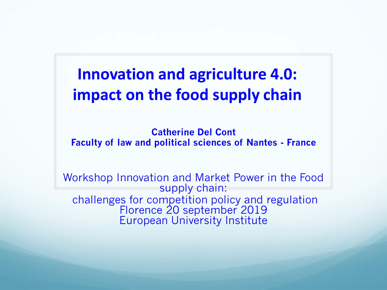#### **Innovation and agriculture 4.0: impact on the food supply chain**

**Catherine Del Cont Faculty of law and political sciences of Nantes - France**

Workshop Innovation and Market Power in the Food supply chain: challenges for competition policy and regulation Florence 20 september 2019 European University Institute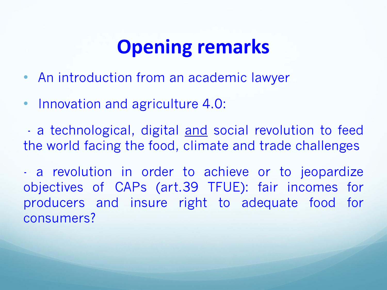## **Opening remarks**

- An introduction from an academic lawyer
- Innovation and agriculture 4.0:

- a technological, digital and social revolution to feed the world facing the food, climate and trade challenges

- a revolution in order to achieve or to jeopardize objectives of CAPs (art.39 TFUE): fair incomes for producers and insure right to adequate food for consumers?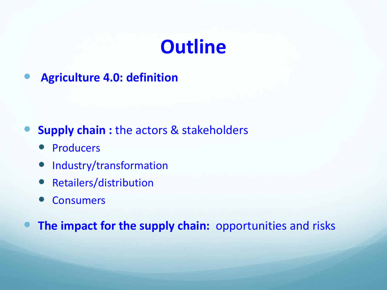## **Outline**

**Agriculture 4.0: definition** 

- **Supply chain :** the actors & stakeholders
	- Producers
	- Industry/transformation
	- Retailers/distribution
	- Consumers

**The impact for the supply chain:** opportunities and risks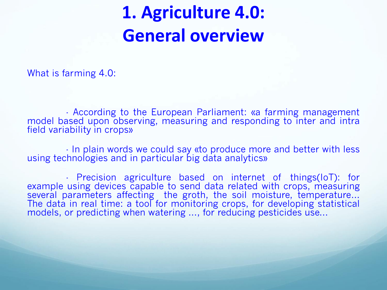#### **1. Agriculture 4.0: General overview**

What is farming 4.0:

- According to the European Parliament: «a farming management model based upon observing, measuring and responding to inter and intra field variability in crops»

- In plain words we could say «to produce more and better with less using technologies and in particular big data analytics»

- Precision agriculture based on internet of things(IoT): for example using devices capable to send data related with crops, measuring several parameters affecting the groth, the soil moisture, temperature... The data in real time: a tool for monitoring crops, for developing statistical models, or predicting when watering ..., for reducing pesticides use...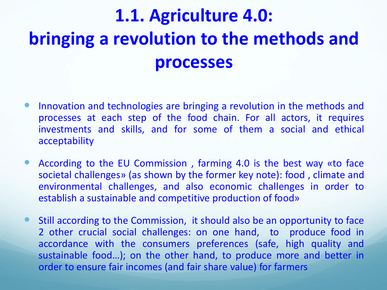## **1.1. Agriculture 4.0: bringing a revolution to the methods and processes**

- Innovation and technologies are bringing a revolution in the methods and processes at each step of the food chain. For all actors, it requires investments and skills, and for some of them a social and ethical acceptability
- According to the EU Commission , farming 4.0 is the best way «to face societal challenges» (as shown by the former key note): food , climate and environmental challenges, and also economic challenges in order to establish a sustainable and competitive production of food»
- Still according to the Commission, it should also be an opportunity to face 2 other crucial social challenges: on one hand, to produce food in accordance with the consumers preferences (safe, high quality and sustainable food…); on the other hand, to produce more and better in order to ensure fair incomes (and fair share value) for farmers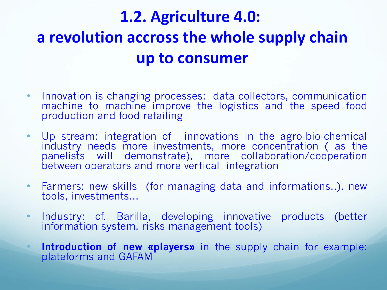#### **1.2. Agriculture 4.0: a revolution accross the whole supply chain up to consumer**

- Innovation is changing processes: data collectors, communication machine to machine improve the logistics and the speed food production and food retailing
- Up stream: integration of innovations in the agro-bio-chemical industry needs more investments, more concentration (as the panelists will demonstrate), more collaboration/cooperation between operators and more vertical integration
- Farmers: new skills (for managing data and informations..), new tools, investments…
- Industry: cf. Barilla, developing innovative products (better information system, risks management tools)
	- **Introduction of new «players»** in the supply chain for example: plateforms and GAFAM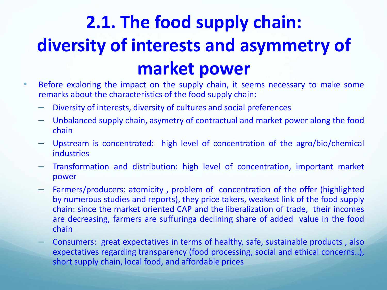## **2.1. The food supply chain: diversity of interests and asymmetry of market power**

- Before exploring the impact on the supply chain, it seems necessary to make some remarks about the characteristics of the food supply chain:
	- Diversity of interests, diversity of cultures and social preferences
	- Unbalanced supply chain, asymetry of contractual and market power along the food chain
	- Upstream is concentrated: high level of concentration of the agro/bio/chemical industries
	- Transformation and distribution: high level of concentration, important market power
	- Farmers/producers: atomicity , problem of concentration of the offer (highlighted by numerous studies and reports), they price takers, weakest link of the food supply chain: since the market oriented CAP and the liberalization of trade, their incomes are decreasing, farmers are suffuringa declining share of added value in the food chain
	- Consumers: great expectatives in terms of healthy, safe, sustainable products , also expectatives regarding transparency (food processing, social and ethical concerns..), short supply chain, local food, and affordable prices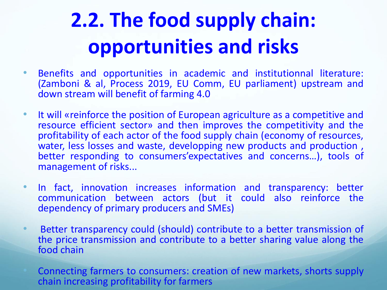# **2.2. The food supply chain: opportunities and risks**

- Benefits and opportunities in academic and institutionnal literature: (Zamboni & al, Process 2019, EU Comm, EU parliament) upstream and down stream will benefit of farming 4.0
- It will «reinforce the position of European agriculture as a competitive and resource efficient sector» and then improves the competitivity and the profitability of each actor of the food supply chain (economy of resources, water, less losses and waste, developping new products and production, better responding to consumers'expectatives and concerns…), tools of management of risks...
- In fact, innovation increases information and transparency: better communication between actors (but it could also reinforce the dependency of primary producers and SMEs)
- Better transparency could (should) contribute to a better transmission of the price transmission and contribute to a better sharing value along the food chain
- Connecting farmers to consumers: creation of new markets, shorts supply chain increasing profitability for farmers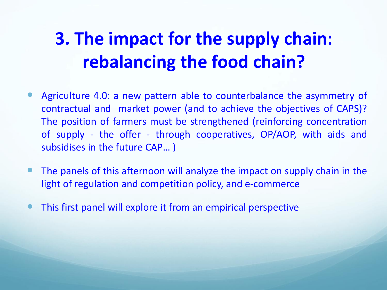## **3. The impact for the supply chain: rebalancing the food chain?**

- Agriculture 4.0: a new pattern able to counterbalance the asymmetry of contractual and market power (and to achieve the objectives of CAPS)? The position of farmers must be strengthened (reinforcing concentration of supply - the offer - through cooperatives, OP/AOP, with aids and subsidises in the future CAP… )
- The panels of this afternoon will analyze the impact on supply chain in the light of regulation and competition policy, and e-commerce
- This first panel will explore it from an empirical perspective